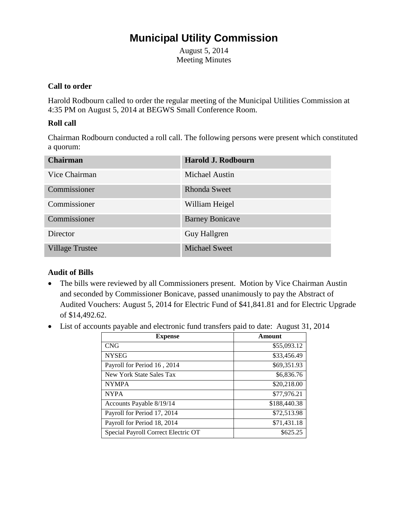August 5, 2014 Meeting Minutes

### **Call to order**

Harold Rodbourn called to order the regular meeting of the Municipal Utilities Commission at 4:35 PM on August 5, 2014 at BEGWS Small Conference Room.

### **Roll call**

Chairman Rodbourn conducted a roll call. The following persons were present which constituted a quorum:

| <b>Chairman</b>        | Harold J. Rodbourn     |
|------------------------|------------------------|
| Vice Chairman          | <b>Michael Austin</b>  |
| Commissioner           | Rhonda Sweet           |
| Commissioner           | William Heigel         |
| Commissioner           | <b>Barney Bonicave</b> |
| Director               | <b>Guy Hallgren</b>    |
| <b>Village Trustee</b> | <b>Michael Sweet</b>   |

## **Audit of Bills**

- The bills were reviewed by all Commissioners present. Motion by Vice Chairman Austin and seconded by Commissioner Bonicave, passed unanimously to pay the Abstract of Audited Vouchers: August 5, 2014 for Electric Fund of \$41,841.81 and for Electric Upgrade of \$14,492.62.
- List of accounts payable and electronic fund transfers paid to date: August 31, 2014

| <b>Expense</b>                      | Amount       |
|-------------------------------------|--------------|
| <b>CNG</b>                          | \$55,093.12  |
| <b>NYSEG</b>                        | \$33,456.49  |
| Payroll for Period 16, 2014         | \$69,351.93  |
| New York State Sales Tax            | \$6,836.76   |
| <b>NYMPA</b>                        | \$20,218.00  |
| <b>NYPA</b>                         | \$77,976.21  |
| Accounts Payable 8/19/14            | \$188,440.38 |
| Payroll for Period 17, 2014         | \$72,513.98  |
| Payroll for Period 18, 2014         | \$71,431.18  |
| Special Payroll Correct Electric OT | \$625.25     |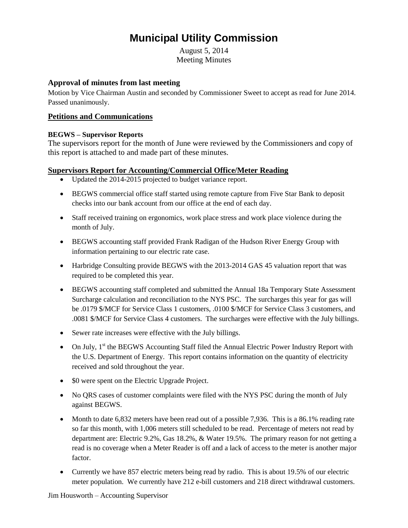August 5, 2014 Meeting Minutes

### **Approval of minutes from last meeting**

Motion by Vice Chairman Austin and seconded by Commissioner Sweet to accept as read for June 2014. Passed unanimously.

### **Petitions and Communications**

### **BEGWS – Supervisor Reports**

The supervisors report for the month of June were reviewed by the Commissioners and copy of this report is attached to and made part of these minutes.

### **Supervisors Report for Accounting/Commercial Office/Meter Reading**

- Updated the 2014-2015 projected to budget variance report.
- BEGWS commercial office staff started using remote capture from Five Star Bank to deposit checks into our bank account from our office at the end of each day.
- Staff received training on ergonomics, work place stress and work place violence during the month of July.
- BEGWS accounting staff provided Frank Radigan of the Hudson River Energy Group with information pertaining to our electric rate case.
- Harbridge Consulting provide BEGWS with the 2013-2014 GAS 45 valuation report that was required to be completed this year.
- BEGWS accounting staff completed and submitted the Annual 18a Temporary State Assessment Surcharge calculation and reconciliation to the NYS PSC. The surcharges this year for gas will be .0179 \$/MCF for Service Class 1 customers, .0100 \$/MCF for Service Class 3 customers, and .0081 \$/MCF for Service Class 4 customers. The surcharges were effective with the July billings.
- Sewer rate increases were effective with the July billings.
- On July, 1<sup>st</sup> the BEGWS Accounting Staff filed the Annual Electric Power Industry Report with the U.S. Department of Energy. This report contains information on the quantity of electricity received and sold throughout the year.
- \$0 were spent on the Electric Upgrade Project.
- No QRS cases of customer complaints were filed with the NYS PSC during the month of July against BEGWS.
- Month to date 6,832 meters have been read out of a possible 7,936. This is a 86.1% reading rate so far this month, with 1,006 meters still scheduled to be read. Percentage of meters not read by department are: Electric 9.2%, Gas 18.2%, & Water 19.5%. The primary reason for not getting a read is no coverage when a Meter Reader is off and a lack of access to the meter is another major factor.
- Currently we have 857 electric meters being read by radio. This is about 19.5% of our electric meter population. We currently have 212 e-bill customers and 218 direct withdrawal customers.

Jim Housworth – Accounting Supervisor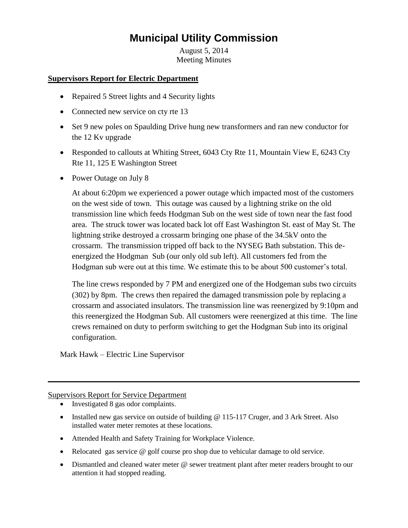August 5, 2014 Meeting Minutes

# **Supervisors Report for Electric Department**

- Repaired 5 Street lights and 4 Security lights
- Connected new service on cty rte 13
- Set 9 new poles on Spaulding Drive hung new transformers and ran new conductor for the 12 Kv upgrade
- Responded to callouts at Whiting Street, 6043 Cty Rte 11, Mountain View E, 6243 Cty Rte 11, 125 E Washington Street
- Power Outage on July 8

At about 6:20pm we experienced a power outage which impacted most of the customers on the west side of town. This outage was caused by a lightning strike on the old transmission line which feeds Hodgman Sub on the west side of town near the fast food area. The struck tower was located back lot off East Washington St. east of May St. The lightning strike destroyed a crossarm bringing one phase of the 34.5kV onto the crossarm. The transmission tripped off back to the NYSEG Bath substation. This deenergized the Hodgman Sub (our only old sub left). All customers fed from the Hodgman sub were out at this time. We estimate this to be about 500 customer's total.

The line crews responded by 7 PM and energized one of the Hodgeman subs two circuits (302) by 8pm. The crews then repaired the damaged transmission pole by replacing a crossarm and associated insulators. The transmission line was reenergized by 9:10pm and this reenergized the Hodgman Sub. All customers were reenergized at this time. The line crews remained on duty to perform switching to get the Hodgman Sub into its original configuration.

Mark Hawk – Electric Line Supervisor

Supervisors Report for Service Department

- Investigated 8 gas odor complaints.
- Installed new gas service on outside of building @ 115-117 Cruger, and 3 Ark Street. Also installed water meter remotes at these locations.
- Attended Health and Safety Training for Workplace Violence.
- Relocated gas service @ golf course pro shop due to vehicular damage to old service.
- Dismantled and cleaned water meter @ sewer treatment plant after meter readers brought to our attention it had stopped reading.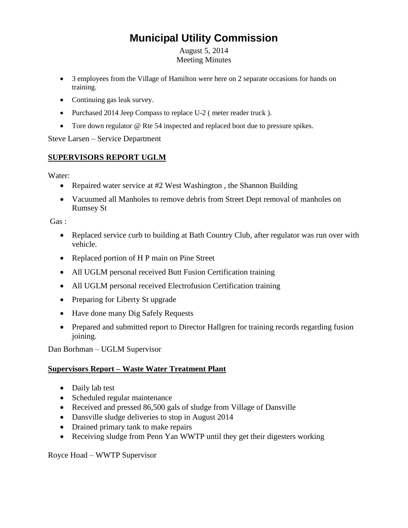August 5, 2014 Meeting Minutes

- 3 employees from the Village of Hamilton were here on 2 separate occasions for hands on training.
- Continuing gas leak survey.
- Purchased 2014 Jeep Compass to replace U-2 (meter reader truck).
- Tore down regulator @ Rte 54 inspected and replaced boot due to pressure spikes.

Steve Larsen – Service Department

### **SUPERVISORS REPORT UGLM**

Water:

- Repaired water service at #2 West Washington, the Shannon Building
- Vacuumed all Manholes to remove debris from Street Dept removal of manholes on Rumsey St

Gas :

- Replaced service curb to building at Bath Country Club, after regulator was run over with vehicle.
- Replaced portion of H P main on Pine Street
- All UGLM personal received Butt Fusion Certification training
- All UGLM personal received Electrofusion Certification training
- Preparing for Liberty St upgrade
- Have done many Dig Safely Requests
- Prepared and submitted report to Director Hallgren for training records regarding fusion joining.

Dan Borhman – UGLM Supervisor

## **Supervisors Report – Waste Water Treatment Plant**

- Daily lab test
- Scheduled regular maintenance
- Received and pressed 86,500 gals of sludge from Village of Dansville
- Dansville sludge deliveries to stop in August 2014
- Drained primary tank to make repairs
- Receiving sludge from Penn Yan WWTP until they get their digesters working

Royce Hoad – WWTP Supervisor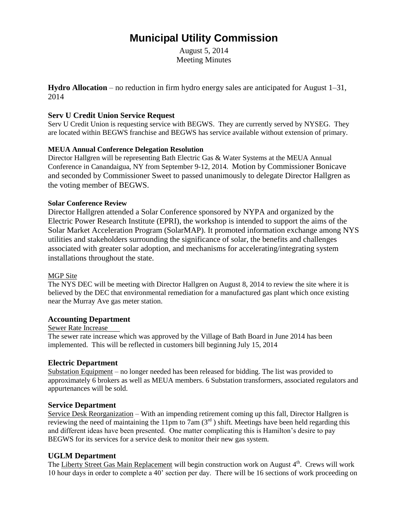August 5, 2014 Meeting Minutes

**Hydro Allocation** – no reduction in firm hydro energy sales are anticipated for August 1–31, 2014

### **Serv U Credit Union Service Request**

Serv U Credit Union is requesting service with BEGWS. They are currently served by NYSEG. They are located within BEGWS franchise and BEGWS has service available without extension of primary.

### **MEUA Annual Conference Delegation Resolution**

Director Hallgren will be representing Bath Electric Gas & Water Systems at the MEUA Annual Conference in Canandaigua, NY from September 9-12, 2014. Motion by Commissioner Bonicave and seconded by Commissioner Sweet to passed unanimously to delegate Director Hallgren as the voting member of BEGWS.

### **Solar Conference Review**

Director Hallgren attended a Solar Conference sponsored by NYPA and organized by the Electric Power Research Institute (EPRI), the workshop is intended to support the aims of the Solar Market Acceleration Program (SolarMAP). It promoted information exchange among NYS utilities and stakeholders surrounding the significance of solar, the benefits and challenges associated with greater solar adoption, and mechanisms for accelerating/integrating system installations throughout the state.

#### MGP Site

The NYS DEC will be meeting with Director Hallgren on August 8, 2014 to review the site where it is believed by the DEC that environmental remediation for a manufactured gas plant which once existing near the Murray Ave gas meter station.

#### **Accounting Department**

#### Sewer Rate Increase

The sewer rate increase which was approved by the Village of Bath Board in June 2014 has been implemented. This will be reflected in customers bill beginning July 15, 2014

#### **Electric Department**

Substation Equipment – no longer needed has been released for bidding. The list was provided to approximately 6 brokers as well as MEUA members. 6 Substation transformers, associated regulators and appurtenances will be sold.

#### **Service Department**

Service Desk Reorganization – With an impending retirement coming up this fall, Director Hallgren is reviewing the need of maintaining the 11pm to 7am (3<sup>rd</sup>) shift. Meetings have been held regarding this and different ideas have been presented. One matter complicating this is Hamilton's desire to pay BEGWS for its services for a service desk to monitor their new gas system.

### **UGLM Department**

The Liberty Street Gas Main Replacement will begin construction work on August  $4<sup>th</sup>$ . Crews will work 10 hour days in order to complete a 40' section per day. There will be 16 sections of work proceeding on